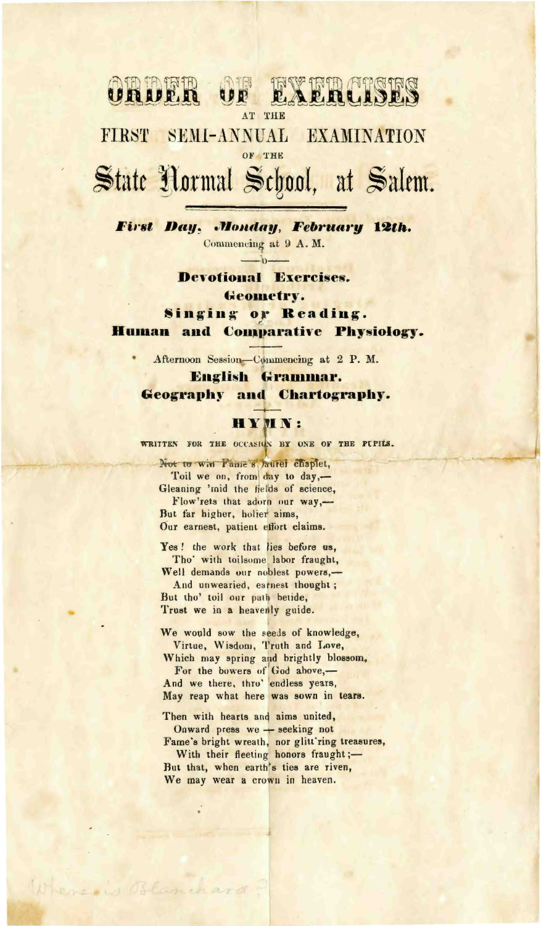#### **EXERCISES** AM TA TRITA **UNIP.N**

AT THE

FIRST SEMI-ANNUAL EXAMINATION OF THE

# State Normal School, at Salem.

First Day, Monday, February 12th. Commencing at 9 A.M.  $\Lambda$ 

> **Devotional Exercises.** Geometry.

Singing or Reading. Human and Comparative Physiology.

Afternoon Session-Commencing at 2 P.M.

English Grammar. **Geography and Chartography.** 

#### **HYMN:**

WRITTEN FOR THE OCCASION BY ONE OF THE PUPILS.

Not to win Fame s Jaurel chaptet, Toil we on, from day to day,-Gleaning 'mid the fields of science, Flow'rets that adorn our way,-But far higher, holier aims, Our earnest, patient effort claims.

Yes! the work that lies before us. Tho' with toilsome labor fraught, Well demands our noblest powers,-

And unwearied, earnest thought; But tho' toil our path betide, Trust we in a heavenly guide.

We would sow the seeds of knowledge, Virtue, Wisdom, Truth and Love,

Which may spring and brightly blossom, For the bowers of God above,-And we there, thro' endless years,

May reap what here was sown in tears.

Where is Blanchard

Then with hearts and aims united, Onward press we - seeking not Fame's bright wreath, nor glitt'ring treasures, With their fleeting honors fraught ;-But that, when earth's ties are riven, We may wear a crown in heaven.